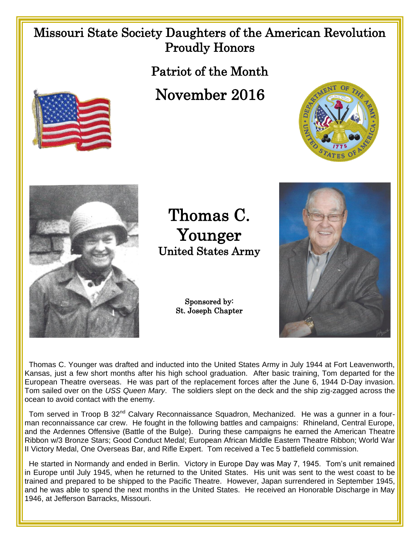## Missouri State Society Daughters of the American Revolution Proudly Honors

Patriot of the Month

## November 2016





Thomas C. Younger United States Army

> Sponsored by: St. Joseph Chapter



 Thomas C. Younger was drafted and inducted into the United States Army in July 1944 at Fort Leavenworth, Kansas, just a few short months after his high school graduation. After basic training, Tom departed for the European Theatre overseas. He was part of the replacement forces after the June 6, 1944 D-Day invasion. Tom sailed over on the *USS Queen Mary*. The soldiers slept on the deck and the ship zig-zagged across the ocean to avoid contact with the enemy.

Tom served in Troop B 32<sup>nd</sup> Calvary Reconnaissance Squadron, Mechanized. He was a gunner in a fourman reconnaissance car crew. He fought in the following battles and campaigns: Rhineland, Central Europe, and the Ardennes Offensive (Battle of the Bulge). During these campaigns he earned the American Theatre Ribbon w/3 Bronze Stars; Good Conduct Medal; European African Middle Eastern Theatre Ribbon; World War II Victory Medal, One Overseas Bar, and Rifle Expert. Tom received a Tec 5 battlefield commission.

 He started in Normandy and ended in Berlin. Victory in Europe Day was May 7, 1945. Tom's unit remained in Europe until July 1945, when he returned to the United States. His unit was sent to the west coast to be trained and prepared to be shipped to the Pacific Theatre. However, Japan surrendered in September 1945, and he was able to spend the next months in the United States. He received an Honorable Discharge in May 1946, at Jefferson Barracks, Missouri.